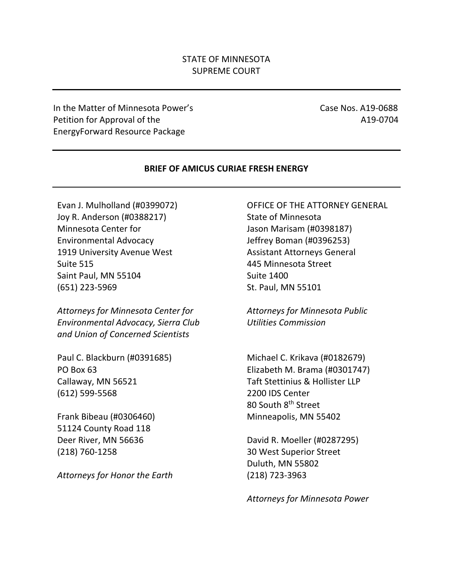# STATE OF MINNESOTA SUPREME COURT

In the Matter of Minnesota Power's Case Nos. A19-0688 Petition for Approval of the A19-0704 EnergyForward Resource Package

#### **BRIEF OF AMICUS CURIAE FRESH ENERGY**

Evan J. Mulholland (#0399072) Joy R. Anderson (#0388217) Minnesota Center for Environmental Advocacy 1919 University Avenue West Suite 515 Saint Paul, MN 55104 (651) 223-5969

*Attorneys for Minnesota Center for Environmental Advocacy, Sierra Club and Union of Concerned Scientists*

Paul C. Blackburn (#0391685) PO Box 63 Callaway, MN 56521 (612) 599-5568

Frank Bibeau (#0306460) 51124 County Road 118 Deer River, MN 56636 (218) 760-1258

*Attorneys for Honor the Earth*

OFFICE OF THE ATTORNEY GENERAL State of Minnesota Jason Marisam (#0398187) Jeffrey Boman (#0396253) Assistant Attorneys General 445 Minnesota Street Suite 1400 St. Paul, MN 55101

*Attorneys for Minnesota Public Utilities Commission*

Michael C. Krikava (#0182679) Elizabeth M. Brama (#0301747) Taft Stettinius & Hollister LLP 2200 IDS Center 80 South 8<sup>th</sup> Street Minneapolis, MN 55402

David R. Moeller (#0287295) 30 West Superior Street Duluth, MN 55802 (218) 723-3963

*Attorneys for Minnesota Power*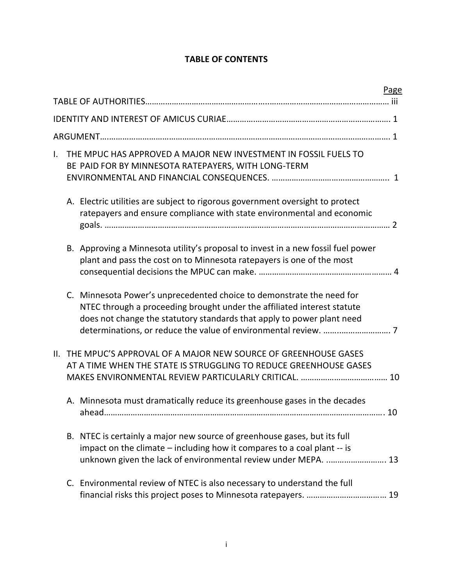# **TABLE OF CONTENTS**

|              |  |                                                                                                                                                                                                                            | <b>Page</b> |
|--------------|--|----------------------------------------------------------------------------------------------------------------------------------------------------------------------------------------------------------------------------|-------------|
|              |  |                                                                                                                                                                                                                            |             |
|              |  |                                                                                                                                                                                                                            |             |
|              |  |                                                                                                                                                                                                                            |             |
| $\mathbf{L}$ |  | THE MPUC HAS APPROVED A MAJOR NEW INVESTMENT IN FOSSIL FUELS TO<br>BE PAID FOR BY MINNESOTA RATEPAYERS, WITH LONG-TERM                                                                                                     |             |
|              |  | A. Electric utilities are subject to rigorous government oversight to protect<br>ratepayers and ensure compliance with state environmental and economic                                                                    |             |
|              |  | B. Approving a Minnesota utility's proposal to invest in a new fossil fuel power<br>plant and pass the cost on to Minnesota ratepayers is one of the most                                                                  |             |
|              |  | C. Minnesota Power's unprecedented choice to demonstrate the need for<br>NTEC through a proceeding brought under the affiliated interest statute<br>does not change the statutory standards that apply to power plant need |             |
|              |  | II. THE MPUC'S APPROVAL OF A MAJOR NEW SOURCE OF GREENHOUSE GASES<br>AT A TIME WHEN THE STATE IS STRUGGLING TO REDUCE GREENHOUSE GASES                                                                                     |             |
|              |  | A. Minnesota must dramatically reduce its greenhouse gases in the decades                                                                                                                                                  |             |
|              |  | B. NTEC is certainly a major new source of greenhouse gases, but its full<br>impact on the climate – including how it compares to a coal plant -- is<br>unknown given the lack of environmental review under MEPA.  13     |             |
|              |  | C. Environmental review of NTEC is also necessary to understand the full                                                                                                                                                   |             |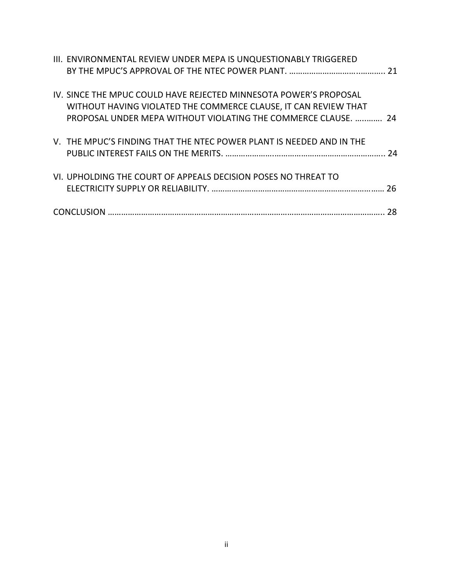| III. ENVIRONMENTAL REVIEW UNDER MEPA IS UNQUESTIONABLY TRIGGERED                                                                                                                                       |    |
|--------------------------------------------------------------------------------------------------------------------------------------------------------------------------------------------------------|----|
| IV. SINCE THE MPUC COULD HAVE REJECTED MINNESOTA POWER'S PROPOSAL<br>WITHOUT HAVING VIOLATED THE COMMERCE CLAUSE, IT CAN REVIEW THAT<br>PROPOSAL UNDER MEPA WITHOUT VIOLATING THE COMMERCE CLAUSE.  24 |    |
| V. THE MPUC'S FINDING THAT THE NTEC POWER PLANT IS NEEDED AND IN THE                                                                                                                                   | 24 |
| VI. UPHOLDING THE COURT OF APPEALS DECISION POSES NO THREAT TO                                                                                                                                         |    |
|                                                                                                                                                                                                        | 28 |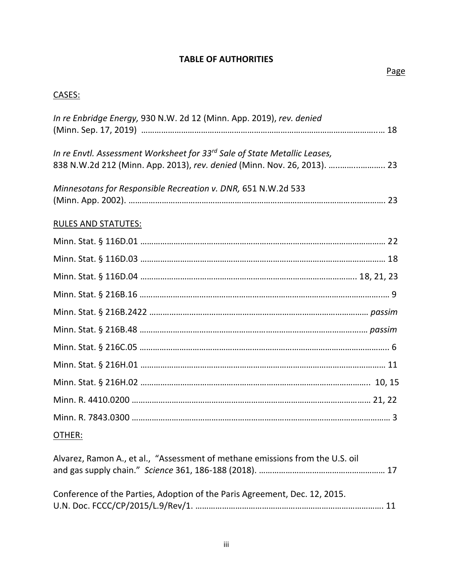# **TABLE OF AUTHORITIES**

# CASES:

| In re Enbridge Energy, 930 N.W. 2d 12 (Minn. App. 2019), rev. denied                  |  |
|---------------------------------------------------------------------------------------|--|
| In re Envtl. Assessment Worksheet for 33 <sup>rd</sup> Sale of State Metallic Leases, |  |
| 838 N.W.2d 212 (Minn. App. 2013), rev. denied (Minn. Nov. 26, 2013).  23              |  |
| Minnesotans for Responsible Recreation v. DNR, 651 N.W.2d 533                         |  |
| <b>RULES AND STATUTES:</b>                                                            |  |
|                                                                                       |  |
|                                                                                       |  |
|                                                                                       |  |
|                                                                                       |  |
|                                                                                       |  |
|                                                                                       |  |
|                                                                                       |  |
|                                                                                       |  |
|                                                                                       |  |
|                                                                                       |  |
|                                                                                       |  |
| OTHER:                                                                                |  |

| Alvarez, Ramon A., et al., "Assessment of methane emissions from the U.S. oil |  |
|-------------------------------------------------------------------------------|--|
| Conference of the Parties, Adoption of the Paris Agreement, Dec. 12, 2015.    |  |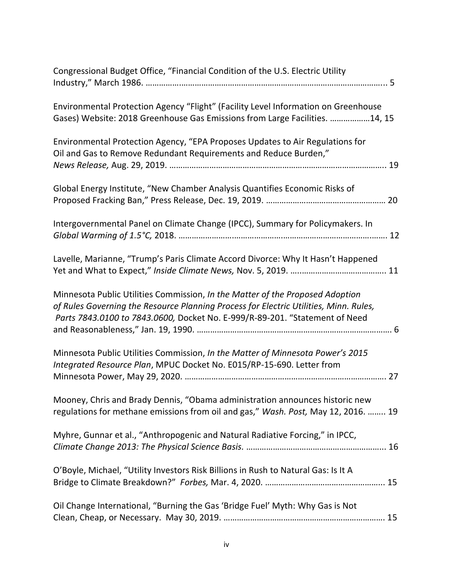| Congressional Budget Office, "Financial Condition of the U.S. Electric Utility                                                                                                                                                                        |
|-------------------------------------------------------------------------------------------------------------------------------------------------------------------------------------------------------------------------------------------------------|
| Environmental Protection Agency "Flight" (Facility Level Information on Greenhouse<br>Gases) Website: 2018 Greenhouse Gas Emissions from Large Facilities. 14, 15                                                                                     |
| Environmental Protection Agency, "EPA Proposes Updates to Air Regulations for<br>Oil and Gas to Remove Redundant Requirements and Reduce Burden,"                                                                                                     |
| Global Energy Institute, "New Chamber Analysis Quantifies Economic Risks of                                                                                                                                                                           |
| Intergovernmental Panel on Climate Change (IPCC), Summary for Policymakers. In                                                                                                                                                                        |
| Lavelle, Marianne, "Trump's Paris Climate Accord Divorce: Why It Hasn't Happened                                                                                                                                                                      |
| Minnesota Public Utilities Commission, In the Matter of the Proposed Adoption<br>of Rules Governing the Resource Planning Process for Electric Utilities, Minn. Rules,<br>Parts 7843.0100 to 7843.0600, Docket No. E-999/R-89-201. "Statement of Need |
| Minnesota Public Utilities Commission, In the Matter of Minnesota Power's 2015<br>Integrated Resource Plan, MPUC Docket No. E015/RP-15-690. Letter from                                                                                               |
| Mooney, Chris and Brady Dennis, "Obama administration announces historic new<br>regulations for methane emissions from oil and gas," Wash. Post, May 12, 2016.  19                                                                                    |
| Myhre, Gunnar et al., "Anthropogenic and Natural Radiative Forcing," in IPCC,                                                                                                                                                                         |
| O'Boyle, Michael, "Utility Investors Risk Billions in Rush to Natural Gas: Is It A                                                                                                                                                                    |
| Oil Change International, "Burning the Gas 'Bridge Fuel' Myth: Why Gas is Not                                                                                                                                                                         |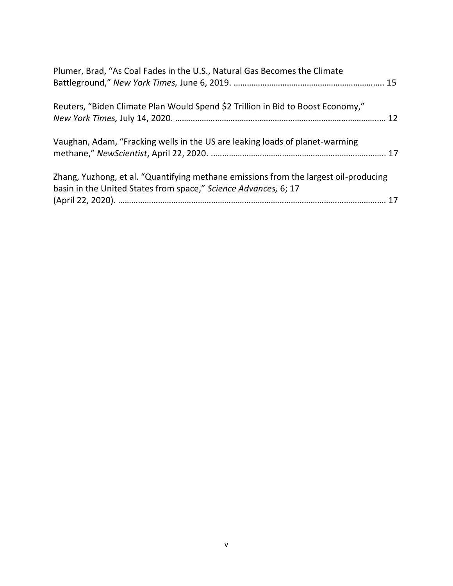| Plumer, Brad, "As Coal Fades in the U.S., Natural Gas Becomes the Climate            |  |
|--------------------------------------------------------------------------------------|--|
| Reuters, "Biden Climate Plan Would Spend \$2 Trillion in Bid to Boost Economy,"      |  |
| Vaughan, Adam, "Fracking wells in the US are leaking loads of planet-warming         |  |
| Zhang, Yuzhong, et al. "Quantifying methane emissions from the largest oil-producing |  |
| basin in the United States from space," Science Advances, 6; 17                      |  |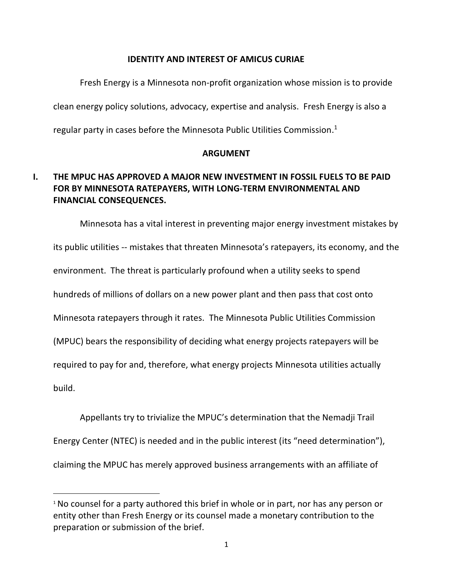#### **IDENTITY AND INTEREST OF AMICUS CURIAE**

Fresh Energy is a Minnesota non-profit organization whose mission is to provide clean energy policy solutions, advocacy, expertise and analysis. Fresh Energy is also a regular party in cases before the Minnesota Public Utilities Commission.<sup>1</sup>

### **ARGUMENT**

# **I. THE MPUC HAS APPROVED A MAJOR NEW INVESTMENT IN FOSSIL FUELS TO BE PAID FOR BY MINNESOTA RATEPAYERS, WITH LONG-TERM ENVIRONMENTAL AND FINANCIAL CONSEQUENCES.**

Minnesota has a vital interest in preventing major energy investment mistakes by its public utilities -- mistakes that threaten Minnesota's ratepayers, its economy, and the environment. The threat is particularly profound when a utility seeks to spend hundreds of millions of dollars on a new power plant and then pass that cost onto Minnesota ratepayers through it rates. The Minnesota Public Utilities Commission (MPUC) bears the responsibility of deciding what energy projects ratepayers will be required to pay for and, therefore, what energy projects Minnesota utilities actually build.

Appellants try to trivialize the MPUC's determination that the Nemadji Trail Energy Center (NTEC) is needed and in the public interest (its "need determination"), claiming the MPUC has merely approved business arrangements with an affiliate of

<sup>&</sup>lt;sup>1</sup> No counsel for a party authored this brief in whole or in part, nor has any person or entity other than Fresh Energy or its counsel made a monetary contribution to the preparation or submission of the brief.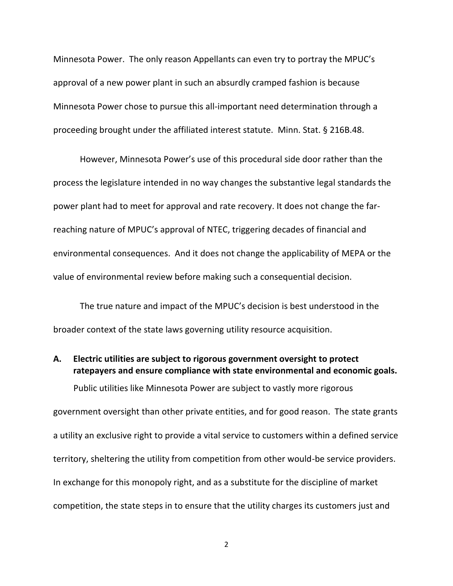Minnesota Power. The only reason Appellants can even try to portray the MPUC's approval of a new power plant in such an absurdly cramped fashion is because Minnesota Power chose to pursue this all-important need determination through a proceeding brought under the affiliated interest statute. Minn. Stat. § 216B.48.

However, Minnesota Power's use of this procedural side door rather than the process the legislature intended in no way changes the substantive legal standards the power plant had to meet for approval and rate recovery. It does not change the farreaching nature of MPUC's approval of NTEC, triggering decades of financial and environmental consequences. And it does not change the applicability of MEPA or the value of environmental review before making such a consequential decision.

The true nature and impact of the MPUC's decision is best understood in the broader context of the state laws governing utility resource acquisition.

# **A. Electric utilities are subject to rigorous government oversight to protect ratepayers and ensure compliance with state environmental and economic goals.**

Public utilities like Minnesota Power are subject to vastly more rigorous

government oversight than other private entities, and for good reason. The state grants a utility an exclusive right to provide a vital service to customers within a defined service territory, sheltering the utility from competition from other would-be service providers. In exchange for this monopoly right, and as a substitute for the discipline of market competition, the state steps in to ensure that the utility charges its customers just and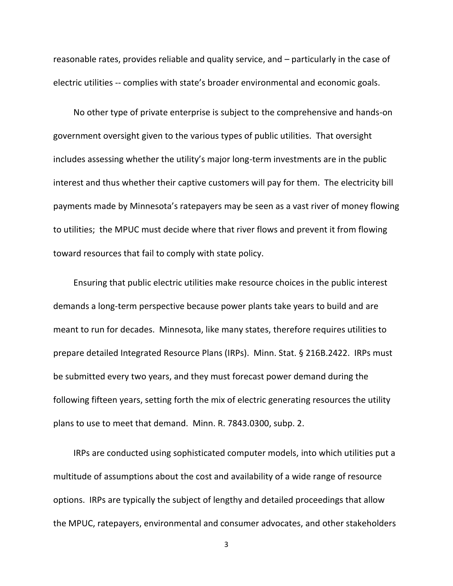reasonable rates, provides reliable and quality service, and – particularly in the case of electric utilities -- complies with state's broader environmental and economic goals.

No other type of private enterprise is subject to the comprehensive and hands-on government oversight given to the various types of public utilities. That oversight includes assessing whether the utility's major long-term investments are in the public interest and thus whether their captive customers will pay for them. The electricity bill payments made by Minnesota's ratepayers may be seen as a vast river of money flowing to utilities; the MPUC must decide where that river flows and prevent it from flowing toward resources that fail to comply with state policy.

Ensuring that public electric utilities make resource choices in the public interest demands a long-term perspective because power plants take years to build and are meant to run for decades. Minnesota, like many states, therefore requires utilities to prepare detailed Integrated Resource Plans (IRPs). Minn. Stat. § 216B.2422. IRPs must be submitted every two years, and they must forecast power demand during the following fifteen years, setting forth the mix of electric generating resources the utility plans to use to meet that demand. Minn. R. 7843.0300, subp. 2.

IRPs are conducted using sophisticated computer models, into which utilities put a multitude of assumptions about the cost and availability of a wide range of resource options. IRPs are typically the subject of lengthy and detailed proceedings that allow the MPUC, ratepayers, environmental and consumer advocates, and other stakeholders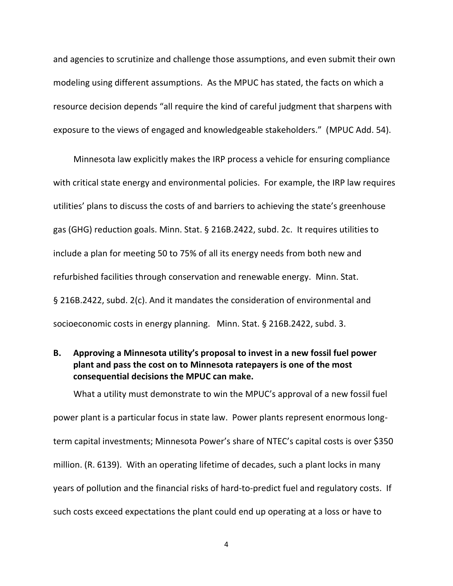and agencies to scrutinize and challenge those assumptions, and even submit their own modeling using different assumptions. As the MPUC has stated, the facts on which a resource decision depends "all require the kind of careful judgment that sharpens with exposure to the views of engaged and knowledgeable stakeholders." (MPUC Add. 54).

Minnesota law explicitly makes the IRP process a vehicle for ensuring compliance with critical state energy and environmental policies. For example, the IRP law requires utilities' plans to discuss the costs of and barriers to achieving the state's greenhouse gas (GHG) reduction goals. Minn. Stat. § 216B.2422, subd. 2c. It requires utilities to include a plan for meeting 50 to 75% of all its energy needs from both new and refurbished facilities through conservation and renewable energy. Minn. Stat. § 216B.2422, subd. 2(c). And it mandates the consideration of environmental and socioeconomic costs in energy planning. Minn. Stat. § 216B.2422, subd. 3.

# **B. Approving a Minnesota utility's proposal to invest in a new fossil fuel power plant and pass the cost on to Minnesota ratepayers is one of the most consequential decisions the MPUC can make.**

What a utility must demonstrate to win the MPUC's approval of a new fossil fuel power plant is a particular focus in state law. Power plants represent enormous longterm capital investments; Minnesota Power's share of NTEC's capital costs is over \$350 million. (R. 6139). With an operating lifetime of decades, such a plant locks in many years of pollution and the financial risks of hard-to-predict fuel and regulatory costs. If such costs exceed expectations the plant could end up operating at a loss or have to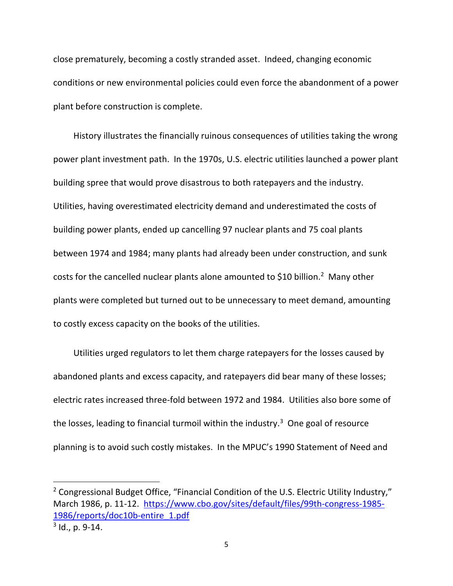close prematurely, becoming a costly stranded asset. Indeed, changing economic conditions or new environmental policies could even force the abandonment of a power plant before construction is complete.

History illustrates the financially ruinous consequences of utilities taking the wrong power plant investment path. In the 1970s, U.S. electric utilities launched a power plant building spree that would prove disastrous to both ratepayers and the industry. Utilities, having overestimated electricity demand and underestimated the costs of building power plants, ended up cancelling 97 nuclear plants and 75 coal plants between 1974 and 1984; many plants had already been under construction, and sunk costs for the cancelled nuclear plants alone amounted to \$10 billion.<sup>2</sup> Many other plants were completed but turned out to be unnecessary to meet demand, amounting to costly excess capacity on the books of the utilities.

Utilities urged regulators to let them charge ratepayers for the losses caused by abandoned plants and excess capacity, and ratepayers did bear many of these losses; electric rates increased three-fold between 1972 and 1984. Utilities also bore some of the losses, leading to financial turmoil within the industry.<sup>3</sup> One goal of resource planning is to avoid such costly mistakes. In the MPUC's 1990 Statement of Need and

<sup>&</sup>lt;sup>2</sup> Congressional Budget Office, "Financial Condition of the U.S. Electric Utility Industry," March 1986, p. 11-12. [https://www.cbo.gov/sites/default/files/99th-congress-1985-](https://www.cbo.gov/sites/default/files/99th-congress-1985-1986/reports/doc10b-entire_1.pdf) [1986/reports/doc10b-entire\\_1.pdf](https://www.cbo.gov/sites/default/files/99th-congress-1985-1986/reports/doc10b-entire_1.pdf)

<sup>&</sup>lt;sup>3</sup> Id., p. 9-14.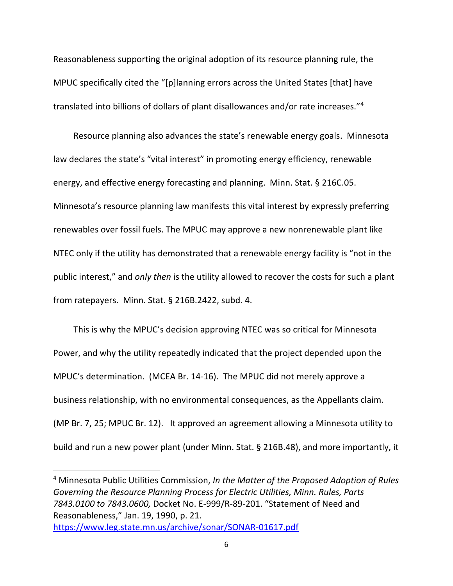Reasonableness supporting the original adoption of its resource planning rule, the MPUC specifically cited the "[p]lanning errors across the United States [that] have translated into billions of dollars of plant disallowances and/or rate increases."<sup>4</sup>

Resource planning also advances the state's renewable energy goals. Minnesota law declares the state's "vital interest" in promoting energy efficiency, renewable energy, and effective energy forecasting and planning. Minn. Stat. § 216C.05. Minnesota's resource planning law manifests this vital interest by expressly preferring renewables over fossil fuels. The MPUC may approve a new nonrenewable plant like NTEC only if the utility has demonstrated that a renewable energy facility is "not in the public interest," and *only then* is the utility allowed to recover the costs for such a plant from ratepayers. Minn. Stat. § 216B.2422, subd. 4.

This is why the MPUC's decision approving NTEC was so critical for Minnesota Power, and why the utility repeatedly indicated that the project depended upon the MPUC's determination. (MCEA Br. 14-16). The MPUC did not merely approve a business relationship, with no environmental consequences, as the Appellants claim. (MP Br. 7, 25; MPUC Br. 12). It approved an agreement allowing a Minnesota utility to build and run a new power plant (under Minn. Stat. § 216B.48), and more importantly, it

<sup>4</sup> Minnesota Public Utilities Commission, *In the Matter of the Proposed Adoption of Rules Governing the Resource Planning Process for Electric Utilities, Minn. Rules, Parts 7843.0100 to 7843.0600,* Docket No. E-999/R-89-201. "Statement of Need and Reasonableness," Jan. 19, 1990, p. 21. <https://www.leg.state.mn.us/archive/sonar/SONAR-01617.pdf>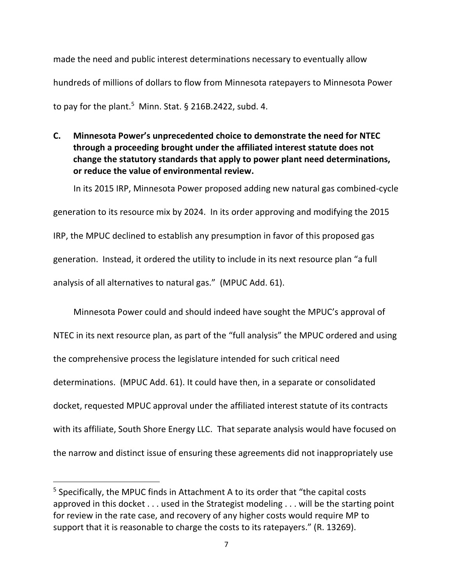made the need and public interest determinations necessary to eventually allow hundreds of millions of dollars to flow from Minnesota ratepayers to Minnesota Power to pay for the plant.<sup>5</sup> Minn. Stat. § 216B.2422, subd. 4.

**C. Minnesota Power's unprecedented choice to demonstrate the need for NTEC through a proceeding brought under the affiliated interest statute does not change the statutory standards that apply to power plant need determinations, or reduce the value of environmental review.** 

In its 2015 IRP, Minnesota Power proposed adding new natural gas combined-cycle generation to its resource mix by 2024. In its order approving and modifying the 2015 IRP, the MPUC declined to establish any presumption in favor of this proposed gas generation. Instead, it ordered the utility to include in its next resource plan "a full analysis of all alternatives to natural gas." (MPUC Add. 61).

Minnesota Power could and should indeed have sought the MPUC's approval of NTEC in its next resource plan, as part of the "full analysis" the MPUC ordered and using the comprehensive process the legislature intended for such critical need determinations. (MPUC Add. 61). It could have then, in a separate or consolidated docket, requested MPUC approval under the affiliated interest statute of its contracts with its affiliate, South Shore Energy LLC. That separate analysis would have focused on the narrow and distinct issue of ensuring these agreements did not inappropriately use

<sup>&</sup>lt;sup>5</sup> Specifically, the MPUC finds in Attachment A to its order that "the capital costs approved in this docket . . . used in the Strategist modeling . . . will be the starting point for review in the rate case, and recovery of any higher costs would require MP to support that it is reasonable to charge the costs to its ratepayers." (R. 13269).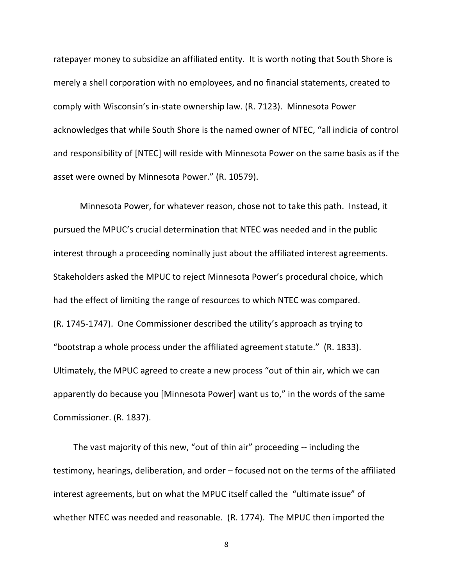ratepayer money to subsidize an affiliated entity. It is worth noting that South Shore is merely a shell corporation with no employees, and no financial statements, created to comply with Wisconsin's in-state ownership law. (R. 7123). Minnesota Power acknowledges that while South Shore is the named owner of NTEC, "all indicia of control and responsibility of [NTEC] will reside with Minnesota Power on the same basis as if the asset were owned by Minnesota Power." (R. 10579).

Minnesota Power, for whatever reason, chose not to take this path. Instead, it pursued the MPUC's crucial determination that NTEC was needed and in the public interest through a proceeding nominally just about the affiliated interest agreements. Stakeholders asked the MPUC to reject Minnesota Power's procedural choice, which had the effect of limiting the range of resources to which NTEC was compared. (R. 1745-1747). One Commissioner described the utility's approach as trying to "bootstrap a whole process under the affiliated agreement statute." (R. 1833). Ultimately, the MPUC agreed to create a new process "out of thin air, which we can apparently do because you [Minnesota Power] want us to," in the words of the same Commissioner. (R. 1837).

The vast majority of this new, "out of thin air" proceeding -- including the testimony, hearings, deliberation, and order – focused not on the terms of the affiliated interest agreements, but on what the MPUC itself called the "ultimate issue" of whether NTEC was needed and reasonable. (R. 1774). The MPUC then imported the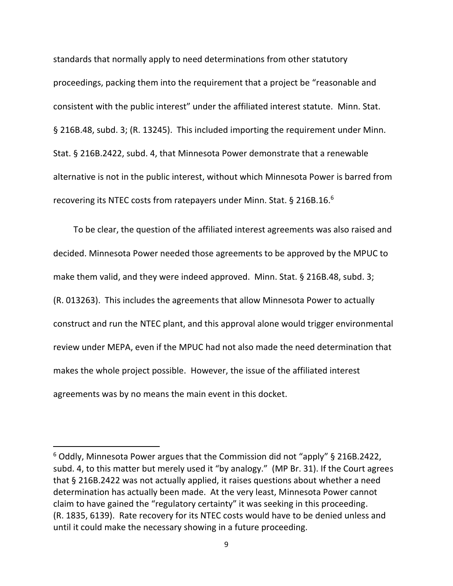standards that normally apply to need determinations from other statutory proceedings, packing them into the requirement that a project be "reasonable and consistent with the public interest" under the affiliated interest statute. Minn. Stat. § 216B.48, subd. 3; (R. 13245). This included importing the requirement under Minn. Stat. § 216B.2422, subd. 4, that Minnesota Power demonstrate that a renewable alternative is not in the public interest, without which Minnesota Power is barred from recovering its NTEC costs from ratepayers under Minn. Stat. § 216B.16. $6$ 

To be clear, the question of the affiliated interest agreements was also raised and decided. Minnesota Power needed those agreements to be approved by the MPUC to make them valid, and they were indeed approved. Minn. Stat. § 216B.48, subd. 3; (R. 013263). This includes the agreements that allow Minnesota Power to actually construct and run the NTEC plant, and this approval alone would trigger environmental review under MEPA, even if the MPUC had not also made the need determination that makes the whole project possible. However, the issue of the affiliated interest agreements was by no means the main event in this docket.

 $6$  Oddly, Minnesota Power argues that the Commission did not "apply" § 216B.2422, subd. 4, to this matter but merely used it "by analogy." (MP Br. 31). If the Court agrees that § 216B.2422 was not actually applied, it raises questions about whether a need determination has actually been made. At the very least, Minnesota Power cannot claim to have gained the "regulatory certainty" it was seeking in this proceeding. (R. 1835, 6139). Rate recovery for its NTEC costs would have to be denied unless and until it could make the necessary showing in a future proceeding.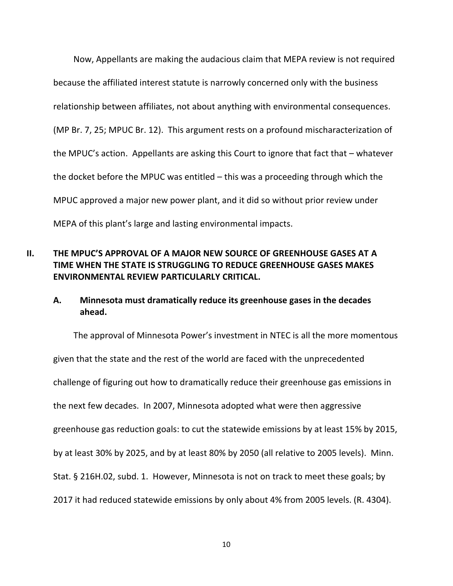Now, Appellants are making the audacious claim that MEPA review is not required because the affiliated interest statute is narrowly concerned only with the business relationship between affiliates, not about anything with environmental consequences. (MP Br. 7, 25; MPUC Br. 12). This argument rests on a profound mischaracterization of the MPUC's action. Appellants are asking this Court to ignore that fact that – whatever the docket before the MPUC was entitled – this was a proceeding through which the MPUC approved a major new power plant, and it did so without prior review under MEPA of this plant's large and lasting environmental impacts.

# **II. THE MPUC'S APPROVAL OF A MAJOR NEW SOURCE OF GREENHOUSE GASES AT A TIME WHEN THE STATE IS STRUGGLING TO REDUCE GREENHOUSE GASES MAKES ENVIRONMENTAL REVIEW PARTICULARLY CRITICAL.**

## **A. Minnesota must dramatically reduce its greenhouse gases in the decades ahead.**

The approval of Minnesota Power's investment in NTEC is all the more momentous given that the state and the rest of the world are faced with the unprecedented challenge of figuring out how to dramatically reduce their greenhouse gas emissions in the next few decades. In 2007, Minnesota adopted what were then aggressive greenhouse gas reduction goals: to cut the statewide emissions by at least 15% by 2015, by at least 30% by 2025, and by at least 80% by 2050 (all relative to 2005 levels). Minn. Stat. § 216H.02, subd. 1. However, Minnesota is not on track to meet these goals; by 2017 it had reduced statewide emissions by only about 4% from 2005 levels. (R. 4304).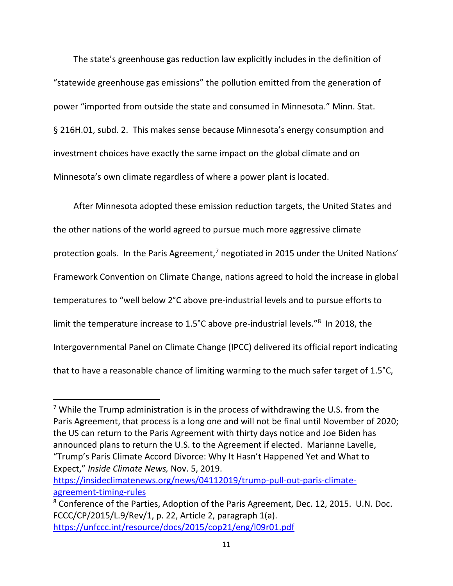The state's greenhouse gas reduction law explicitly includes in the definition of "statewide greenhouse gas emissions" the pollution emitted from the generation of power "imported from outside the state and consumed in Minnesota." Minn. Stat. § 216H.01, subd. 2. This makes sense because Minnesota's energy consumption and investment choices have exactly the same impact on the global climate and on Minnesota's own climate regardless of where a power plant is located.

After Minnesota adopted these emission reduction targets, the United States and the other nations of the world agreed to pursue much more aggressive climate protection goals. In the Paris Agreement,<sup>7</sup> negotiated in 2015 under the United Nations' Framework Convention on Climate Change, nations agreed to hold the increase in global temperatures to "well below 2°C above pre-industrial levels and to pursue efforts to limit the temperature increase to 1.5°C above pre-industrial levels."<sup>8</sup> In 2018, the Intergovernmental Panel on Climate Change (IPCC) delivered its official report indicating that to have a reasonable chance of limiting warming to the much safer target of 1.5°C,

[https://insideclimatenews.org/news/04112019/trump-pull-out-paris-climate](https://insideclimatenews.org/news/04112019/trump-pull-out-paris-climate-agreement-timing-rules)[agreement-timing-rules](https://insideclimatenews.org/news/04112019/trump-pull-out-paris-climate-agreement-timing-rules)

<sup>&</sup>lt;sup>7</sup> While the Trump administration is in the process of withdrawing the U.S. from the Paris Agreement, that process is a long one and will not be final until November of 2020; the US can return to the Paris Agreement with thirty days notice and Joe Biden has announced plans to return the U.S. to the Agreement if elected. Marianne Lavelle, "Trump's Paris Climate Accord Divorce: Why It Hasn't Happened Yet and What to Expect," *Inside Climate News,* Nov. 5, 2019.

<sup>8</sup> Conference of the Parties, Adoption of the Paris Agreement, Dec. 12, 2015. U.N. Doc. FCCC/CP/2015/L.9/Rev/1, p. 22, Article 2, paragraph 1(a). <https://unfccc.int/resource/docs/2015/cop21/eng/l09r01.pdf>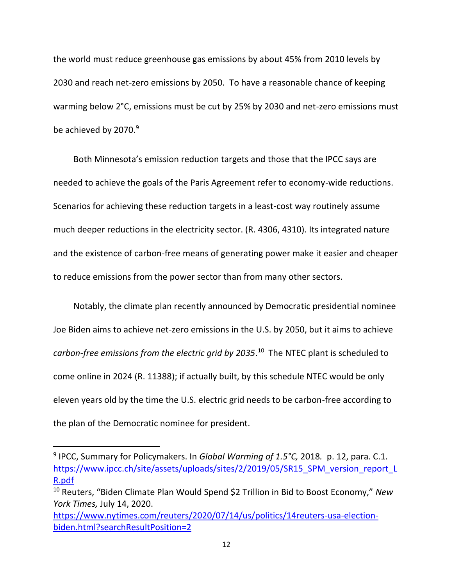the world must reduce greenhouse gas emissions by about 45% from 2010 levels by 2030 and reach net-zero emissions by 2050. To have a reasonable chance of keeping warming below 2°C, emissions must be cut by 25% by 2030 and net-zero emissions must be achieved by 2070.<sup>9</sup>

Both Minnesota's emission reduction targets and those that the IPCC says are needed to achieve the goals of the Paris Agreement refer to economy-wide reductions. Scenarios for achieving these reduction targets in a least-cost way routinely assume much deeper reductions in the electricity sector. (R. 4306, 4310). Its integrated nature and the existence of carbon-free means of generating power make it easier and cheaper to reduce emissions from the power sector than from many other sectors.

Notably, the climate plan recently announced by Democratic presidential nominee Joe Biden aims to achieve net-zero emissions in the U.S. by 2050, but it aims to achieve *carbon-free emissions from the electric grid by 2035*. 10 The NTEC plant is scheduled to come online in 2024 (R. 11388); if actually built, by this schedule NTEC would be only eleven years old by the time the U.S. electric grid needs to be carbon-free according to the plan of the Democratic nominee for president.

<sup>9</sup> IPCC, Summary for Policymakers. In *Global Warming of 1.5°C,* 2018*.* p. 12, para. C.1. [https://www.ipcc.ch/site/assets/uploads/sites/2/2019/05/SR15\\_SPM\\_version\\_report\\_L](https://www.ipcc.ch/site/assets/uploads/sites/2/2019/05/SR15_SPM_version_report_LR.pdf) [R.pdf](https://www.ipcc.ch/site/assets/uploads/sites/2/2019/05/SR15_SPM_version_report_LR.pdf)

<sup>10</sup> Reuters, "Biden Climate Plan Would Spend \$2 Trillion in Bid to Boost Economy," *New York Times,* July 14, 2020.

[https://www.nytimes.com/reuters/2020/07/14/us/politics/14reuters-usa-election](https://www.nytimes.com/reuters/2020/07/14/us/politics/14reuters-usa-election-biden.html?searchResultPosition=2)[biden.html?searchResultPosition=2](https://www.nytimes.com/reuters/2020/07/14/us/politics/14reuters-usa-election-biden.html?searchResultPosition=2)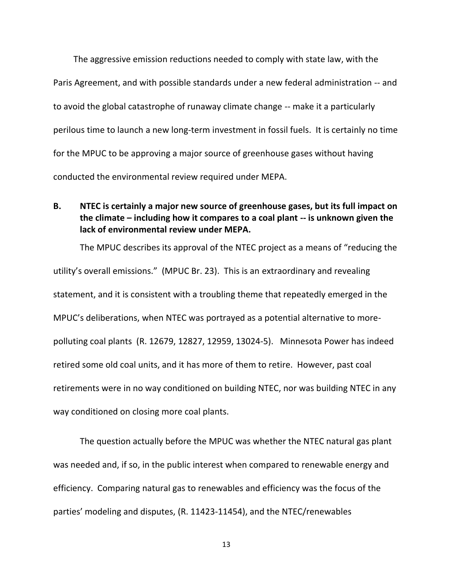The aggressive emission reductions needed to comply with state law, with the Paris Agreement, and with possible standards under a new federal administration -- and to avoid the global catastrophe of runaway climate change -- make it a particularly perilous time to launch a new long-term investment in fossil fuels. It is certainly no time for the MPUC to be approving a major source of greenhouse gases without having conducted the environmental review required under MEPA.

# **B. NTEC is certainly a major new source of greenhouse gases, but its full impact on the climate – including how it compares to a coal plant -- is unknown given the lack of environmental review under MEPA.**

The MPUC describes its approval of the NTEC project as a means of "reducing the utility's overall emissions." (MPUC Br. 23). This is an extraordinary and revealing statement, and it is consistent with a troubling theme that repeatedly emerged in the MPUC's deliberations, when NTEC was portrayed as a potential alternative to morepolluting coal plants (R. 12679, 12827, 12959, 13024-5). Minnesota Power has indeed retired some old coal units, and it has more of them to retire. However, past coal retirements were in no way conditioned on building NTEC, nor was building NTEC in any way conditioned on closing more coal plants.

The question actually before the MPUC was whether the NTEC natural gas plant was needed and, if so, in the public interest when compared to renewable energy and efficiency. Comparing natural gas to renewables and efficiency was the focus of the parties' modeling and disputes, (R. 11423-11454), and the NTEC/renewables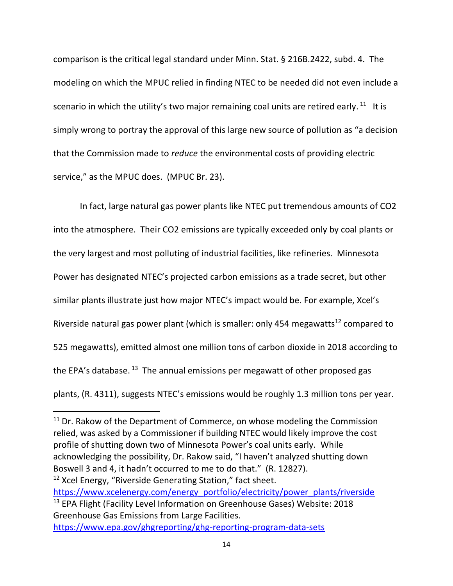comparison is the critical legal standard under Minn. Stat. § 216B.2422, subd. 4. The modeling on which the MPUC relied in finding NTEC to be needed did not even include a scenario in which the utility's two major remaining coal units are retired early.  $^{11}$  It is simply wrong to portray the approval of this large new source of pollution as "a decision that the Commission made to *reduce* the environmental costs of providing electric service," as the MPUC does. (MPUC Br. 23).

In fact, large natural gas power plants like NTEC put tremendous amounts of CO2 into the atmosphere. Their CO2 emissions are typically exceeded only by coal plants or the very largest and most polluting of industrial facilities, like refineries. Minnesota Power has designated NTEC's projected carbon emissions as a trade secret, but other similar plants illustrate just how major NTEC's impact would be. For example, Xcel's Riverside natural gas power plant (which is smaller: only 454 megawatts $^{12}$  compared to 525 megawatts), emitted almost one million tons of carbon dioxide in 2018 according to the EPA's database. <sup>13</sup> The annual emissions per megawatt of other proposed gas plants, (R. 4311), suggests NTEC's emissions would be roughly 1.3 million tons per year.

 $11$  Dr. Rakow of the Department of Commerce, on whose modeling the Commission relied, was asked by a Commissioner if building NTEC would likely improve the cost profile of shutting down two of Minnesota Power's coal units early. While acknowledging the possibility, Dr. Rakow said, "I haven't analyzed shutting down Boswell 3 and 4, it hadn't occurred to me to do that." (R. 12827). <sup>12</sup> Xcel Energy, "Riverside Generating Station," fact sheet. [https://www.xcelenergy.com/energy\\_portfolio/electricity/power\\_plants/riverside](https://www.xcelenergy.com/energy_portfolio/electricity/power_plants/riverside) <sup>13</sup> EPA Flight (Facility Level Information on Greenhouse Gases) Website: 2018 Greenhouse Gas Emissions from Large Facilities.

<https://www.epa.gov/ghgreporting/ghg-reporting-program-data-sets>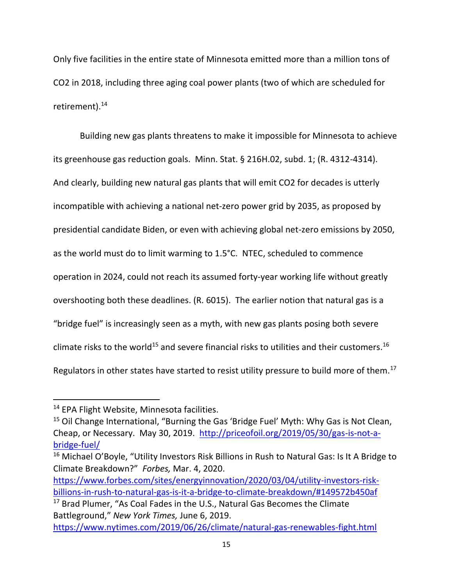Only five facilities in the entire state of Minnesota emitted more than a million tons of CO2 in 2018, including three aging coal power plants (two of which are scheduled for retirement).<sup>14</sup>

Building new gas plants threatens to make it impossible for Minnesota to achieve its greenhouse gas reduction goals. Minn. Stat. § 216H.02, subd. 1; (R. 4312-4314). And clearly, building new natural gas plants that will emit CO2 for decades is utterly incompatible with achieving a national net-zero power grid by 2035, as proposed by presidential candidate Biden, or even with achieving global net-zero emissions by 2050, as the world must do to limit warming to 1.5°C. NTEC, scheduled to commence operation in 2024, could not reach its assumed forty-year working life without greatly overshooting both these deadlines. (R. 6015). The earlier notion that natural gas is a "bridge fuel" is increasingly seen as a myth, with new gas plants posing both severe climate risks to the world<sup>15</sup> and severe financial risks to utilities and their customers.<sup>16</sup> Regulators in other states have started to resist utility pressure to build more of them.<sup>17</sup>

[https://www.forbes.com/sites/energyinnovation/2020/03/04/utility-investors-risk](https://www.forbes.com/sites/energyinnovation/2020/03/04/utility-investors-risk-billions-in-rush-to-natural-gas-is-it-a-bridge-to-climate-breakdown/#149572b450af)[billions-in-rush-to-natural-gas-is-it-a-bridge-to-climate-breakdown/#149572b450af](https://www.forbes.com/sites/energyinnovation/2020/03/04/utility-investors-risk-billions-in-rush-to-natural-gas-is-it-a-bridge-to-climate-breakdown/#149572b450af)

<sup>17</sup> Brad Plumer, "As Coal Fades in the U.S., Natural Gas Becomes the Climate Battleground," *New York Times,* June 6, 2019.

<https://www.nytimes.com/2019/06/26/climate/natural-gas-renewables-fight.html>

<sup>&</sup>lt;sup>14</sup> EPA Flight Website, Minnesota facilities.

<sup>&</sup>lt;sup>15</sup> Oil Change International, "Burning the Gas 'Bridge Fuel' Myth: Why Gas is Not Clean, Cheap, or Necessary. May 30, 2019. [http://priceofoil.org/2019/05/30/gas-is-not-a](http://priceofoil.org/2019/05/30/gas-is-not-a-bridge-fuel/)[bridge-fuel/](http://priceofoil.org/2019/05/30/gas-is-not-a-bridge-fuel/)

<sup>&</sup>lt;sup>16</sup> Michael O'Boyle, "Utility Investors Risk Billions in Rush to Natural Gas: Is It A Bridge to Climate Breakdown?" *Forbes,* Mar. 4, 2020.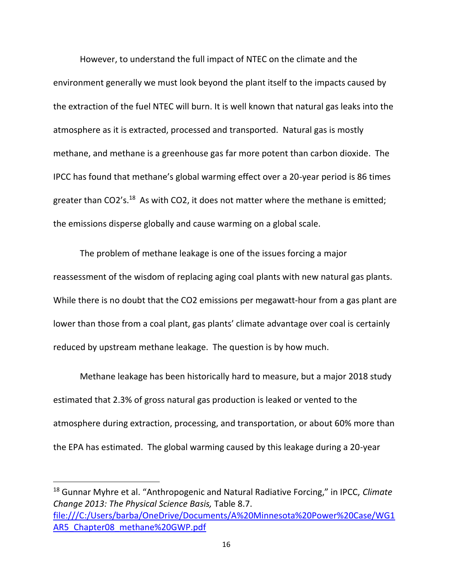However, to understand the full impact of NTEC on the climate and the environment generally we must look beyond the plant itself to the impacts caused by the extraction of the fuel NTEC will burn. It is well known that natural gas leaks into the atmosphere as it is extracted, processed and transported. Natural gas is mostly methane, and methane is a greenhouse gas far more potent than carbon dioxide. The IPCC has found that methane's global warming effect over a 20-year period is 86 times greater than CO2's.<sup>18</sup> As with CO2, it does not matter where the methane is emitted; the emissions disperse globally and cause warming on a global scale.

The problem of methane leakage is one of the issues forcing a major reassessment of the wisdom of replacing aging coal plants with new natural gas plants. While there is no doubt that the CO2 emissions per megawatt-hour from a gas plant are lower than those from a coal plant, gas plants' climate advantage over coal is certainly reduced by upstream methane leakage. The question is by how much.

Methane leakage has been historically hard to measure, but a major 2018 study estimated that 2.3% of gross natural gas production is leaked or vented to the atmosphere during extraction, processing, and transportation, or about 60% more than the EPA has estimated. The global warming caused by this leakage during a 20-year

<sup>18</sup> Gunnar Myhre et al. "Anthropogenic and Natural Radiative Forcing," in IPCC, *Climate Change 2013: The Physical Science Basis,* Table 8.7. [file:///C:/Users/barba/OneDrive/Documents/A%20Minnesota%20Power%20Case/WG1](file:///C:/Users/barba/OneDrive/Documents/A%20Minnesota%20Power%20Case/WG1AR5_Chapter08_methane%20GWP.pdf) AR5 Chapter08 methane%20GWP.pdf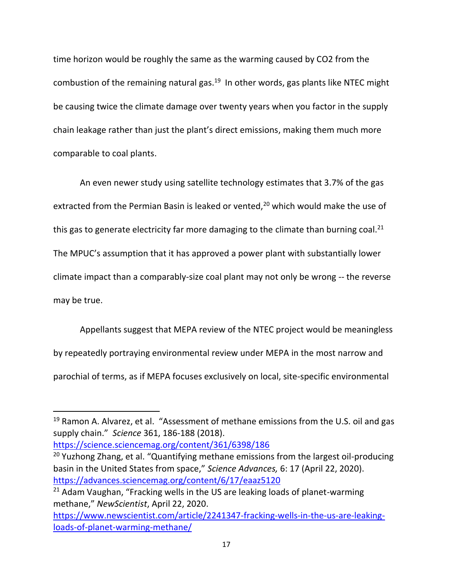time horizon would be roughly the same as the warming caused by CO2 from the combustion of the remaining natural gas.<sup>19</sup> In other words, gas plants like NTEC might be causing twice the climate damage over twenty years when you factor in the supply chain leakage rather than just the plant's direct emissions, making them much more comparable to coal plants.

An even newer study using satellite technology estimates that 3.7% of the gas extracted from the Permian Basin is leaked or vented, $20$  which would make the use of this gas to generate electricity far more damaging to the climate than burning coal.<sup>21</sup> The MPUC's assumption that it has approved a power plant with substantially lower climate impact than a comparably-size coal plant may not only be wrong -- the reverse may be true.

Appellants suggest that MEPA review of the NTEC project would be meaningless by repeatedly portraying environmental review under MEPA in the most narrow and parochial of terms, as if MEPA focuses exclusively on local, site-specific environmental

<https://science.sciencemag.org/content/361/6398/186>

<sup>&</sup>lt;sup>19</sup> Ramon A. Alvarez, et al. "Assessment of methane emissions from the U.S. oil and gas supply chain." *Science* 361, 186-188 (2018).

<sup>&</sup>lt;sup>20</sup> Yuzhong Zhang, et al. "Quantifying methane emissions from the largest oil-producing basin in the United States from space," *Science Advances,* 6: 17 (April 22, 2020). <https://advances.sciencemag.org/content/6/17/eaaz5120>

 $21$  Adam Vaughan, "Fracking wells in the US are leaking loads of planet-warming methane," *NewScientist*, April 22, 2020.

[https://www.newscientist.com/article/2241347-fracking-wells-in-the-us-are-leaking](https://www.newscientist.com/article/2241347-fracking-wells-in-the-us-are-leaking-loads-of-planet-warming-methane/)[loads-of-planet-warming-methane/](https://www.newscientist.com/article/2241347-fracking-wells-in-the-us-are-leaking-loads-of-planet-warming-methane/)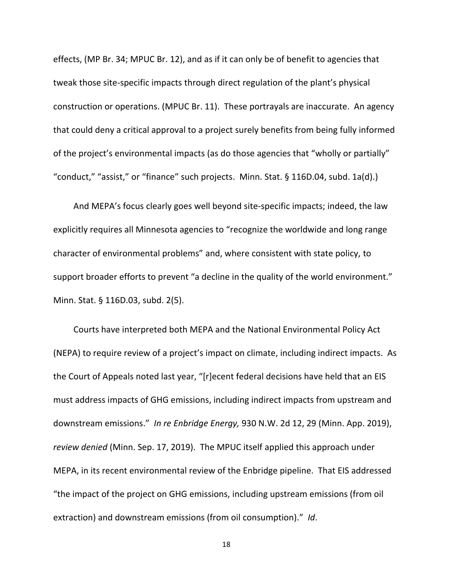effects, (MP Br. 34; MPUC Br. 12), and as if it can only be of benefit to agencies that tweak those site-specific impacts through direct regulation of the plant's physical construction or operations. (MPUC Br. 11). These portrayals are inaccurate. An agency that could deny a critical approval to a project surely benefits from being fully informed of the project's environmental impacts (as do those agencies that "wholly or partially" "conduct," "assist," or "finance" such projects. Minn. Stat. § 116D.04, subd. 1a(d).)

And MEPA's focus clearly goes well beyond site-specific impacts; indeed, the law explicitly requires all Minnesota agencies to "recognize the worldwide and long range character of environmental problems" and, where consistent with state policy, to support broader efforts to prevent "a decline in the quality of the world environment." Minn. Stat. § 116D.03, subd. 2(5).

Courts have interpreted both MEPA and the National Environmental Policy Act (NEPA) to require review of a project's impact on climate, including indirect impacts. As the Court of Appeals noted last year, "[r]ecent federal decisions have held that an EIS must address impacts of GHG emissions, including indirect impacts from upstream and downstream emissions." *In re Enbridge Energy,* 930 N.W. 2d 12, 29 (Minn. App. 2019), *review denied* (Minn. Sep. 17, 2019). The MPUC itself applied this approach under MEPA, in its recent environmental review of the Enbridge pipeline. That EIS addressed "the impact of the project on GHG emissions, including upstream emissions (from oil extraction) and downstream emissions (from oil consumption)." *Id*.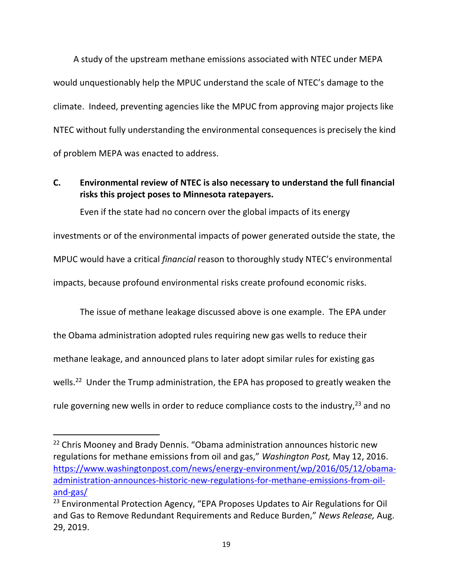A study of the upstream methane emissions associated with NTEC under MEPA would unquestionably help the MPUC understand the scale of NTEC's damage to the climate. Indeed, preventing agencies like the MPUC from approving major projects like NTEC without fully understanding the environmental consequences is precisely the kind of problem MEPA was enacted to address.

# **C. Environmental review of NTEC is also necessary to understand the full financial risks this project poses to Minnesota ratepayers.**

Even if the state had no concern over the global impacts of its energy investments or of the environmental impacts of power generated outside the state, the MPUC would have a critical *financial* reason to thoroughly study NTEC's environmental impacts, because profound environmental risks create profound economic risks.

The issue of methane leakage discussed above is one example. The EPA under the Obama administration adopted rules requiring new gas wells to reduce their methane leakage, and announced plans to later adopt similar rules for existing gas wells.<sup>22</sup> Under the Trump administration, the EPA has proposed to greatly weaken the rule governing new wells in order to reduce compliance costs to the industry,  $23$  and no

 $22$  Chris Mooney and Brady Dennis. "Obama administration announces historic new regulations for methane emissions from oil and gas," *Washington Post,* May 12, 2016. [https://www.washingtonpost.com/news/energy-environment/wp/2016/05/12/obama](https://www.washingtonpost.com/news/energy-environment/wp/2016/05/12/obama-administration-announces-historic-new-regulations-for-methane-emissions-from-oil-and-gas/)[administration-announces-historic-new-regulations-for-methane-emissions-from-oil](https://www.washingtonpost.com/news/energy-environment/wp/2016/05/12/obama-administration-announces-historic-new-regulations-for-methane-emissions-from-oil-and-gas/)[and-gas/](https://www.washingtonpost.com/news/energy-environment/wp/2016/05/12/obama-administration-announces-historic-new-regulations-for-methane-emissions-from-oil-and-gas/)

<sup>&</sup>lt;sup>23</sup> Environmental Protection Agency, "EPA Proposes Updates to Air Regulations for Oil and Gas to Remove Redundant Requirements and Reduce Burden," *News Release,* Aug. 29, 2019.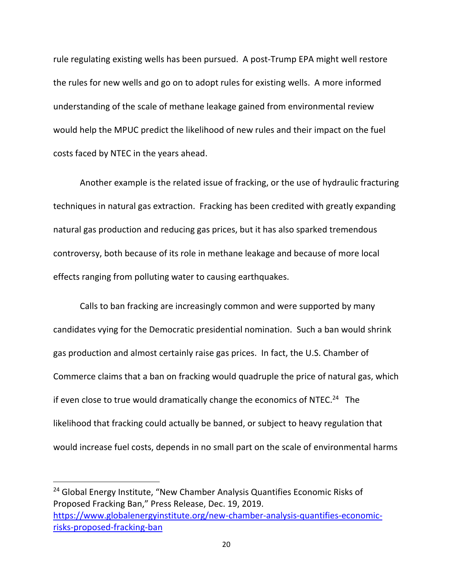rule regulating existing wells has been pursued. A post-Trump EPA might well restore the rules for new wells and go on to adopt rules for existing wells. A more informed understanding of the scale of methane leakage gained from environmental review would help the MPUC predict the likelihood of new rules and their impact on the fuel costs faced by NTEC in the years ahead.

Another example is the related issue of fracking, or the use of hydraulic fracturing techniques in natural gas extraction. Fracking has been credited with greatly expanding natural gas production and reducing gas prices, but it has also sparked tremendous controversy, both because of its role in methane leakage and because of more local effects ranging from polluting water to causing earthquakes.

Calls to ban fracking are increasingly common and were supported by many candidates vying for the Democratic presidential nomination. Such a ban would shrink gas production and almost certainly raise gas prices. In fact, the U.S. Chamber of Commerce claims that a ban on fracking would quadruple the price of natural gas, which if even close to true would dramatically change the economics of NTEC. $^{24}$  The likelihood that fracking could actually be banned, or subject to heavy regulation that would increase fuel costs, depends in no small part on the scale of environmental harms

<sup>24</sup> Global Energy Institute, "New Chamber Analysis Quantifies Economic Risks of Proposed Fracking Ban," Press Release, Dec. 19, 2019. [https://www.globalenergyinstitute.org/new-chamber-analysis-quantifies-economic](https://www.globalenergyinstitute.org/new-chamber-analysis-quantifies-economic-risks-proposed-fracking-ban)[risks-proposed-fracking-ban](https://www.globalenergyinstitute.org/new-chamber-analysis-quantifies-economic-risks-proposed-fracking-ban)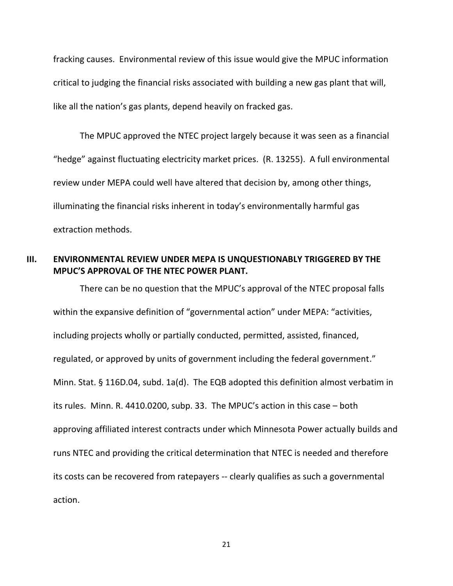fracking causes. Environmental review of this issue would give the MPUC information critical to judging the financial risks associated with building a new gas plant that will, like all the nation's gas plants, depend heavily on fracked gas.

The MPUC approved the NTEC project largely because it was seen as a financial "hedge" against fluctuating electricity market prices. (R. 13255). A full environmental review under MEPA could well have altered that decision by, among other things, illuminating the financial risks inherent in today's environmentally harmful gas extraction methods.

## **III. ENVIRONMENTAL REVIEW UNDER MEPA IS UNQUESTIONABLY TRIGGERED BY THE MPUC'S APPROVAL OF THE NTEC POWER PLANT.**

There can be no question that the MPUC's approval of the NTEC proposal falls within the expansive definition of "governmental action" under MEPA: "activities, including projects wholly or partially conducted, permitted, assisted, financed, regulated, or approved by units of government including the federal government." Minn. Stat. § 116D.04, subd. 1a(d). The EQB adopted this definition almost verbatim in its rules. Minn. R. 4410.0200, subp. 33. The MPUC's action in this case – both approving affiliated interest contracts under which Minnesota Power actually builds and runs NTEC and providing the critical determination that NTEC is needed and therefore its costs can be recovered from ratepayers -- clearly qualifies as such a governmental action.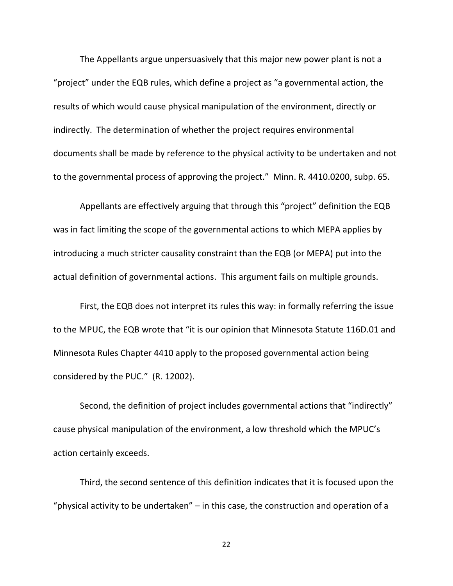The Appellants argue unpersuasively that this major new power plant is not a "project" under the EQB rules, which define a project as "a governmental action, the results of which would cause physical manipulation of the environment, directly or indirectly. The determination of whether the project requires environmental documents shall be made by reference to the physical activity to be undertaken and not to the governmental process of approving the project." Minn. R. 4410.0200, subp. 65.

Appellants are effectively arguing that through this "project" definition the EQB was in fact limiting the scope of the governmental actions to which MEPA applies by introducing a much stricter causality constraint than the EQB (or MEPA) put into the actual definition of governmental actions. This argument fails on multiple grounds.

First, the EQB does not interpret its rules this way: in formally referring the issue to the MPUC, the EQB wrote that "it is our opinion that Minnesota Statute 116D.01 and Minnesota Rules Chapter 4410 apply to the proposed governmental action being considered by the PUC." (R. 12002).

Second, the definition of project includes governmental actions that "indirectly" cause physical manipulation of the environment, a low threshold which the MPUC's action certainly exceeds.

Third, the second sentence of this definition indicates that it is focused upon the "physical activity to be undertaken"  $-$  in this case, the construction and operation of a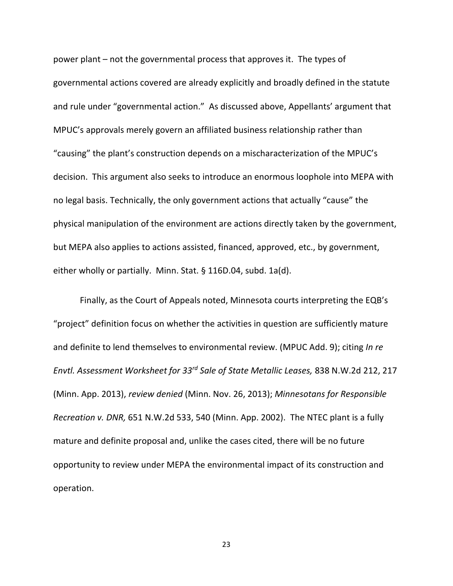power plant – not the governmental process that approves it. The types of governmental actions covered are already explicitly and broadly defined in the statute and rule under "governmental action." As discussed above, Appellants' argument that MPUC's approvals merely govern an affiliated business relationship rather than "causing" the plant's construction depends on a mischaracterization of the MPUC's decision. This argument also seeks to introduce an enormous loophole into MEPA with no legal basis. Technically, the only government actions that actually "cause" the physical manipulation of the environment are actions directly taken by the government, but MEPA also applies to actions assisted, financed, approved, etc., by government, either wholly or partially. Minn. Stat. § 116D.04, subd. 1a(d).

Finally, as the Court of Appeals noted, Minnesota courts interpreting the EQB's "project" definition focus on whether the activities in question are sufficiently mature and definite to lend themselves to environmental review. (MPUC Add. 9); citing *In re Envtl. Assessment Worksheet for 33rd Sale of State Metallic Leases,* 838 N.W.2d 212, 217 (Minn. App. 2013), *review denied* (Minn. Nov. 26, 2013); *Minnesotans for Responsible Recreation v. DNR,* 651 N.W.2d 533, 540 (Minn. App. 2002). The NTEC plant is a fully mature and definite proposal and, unlike the cases cited, there will be no future opportunity to review under MEPA the environmental impact of its construction and operation.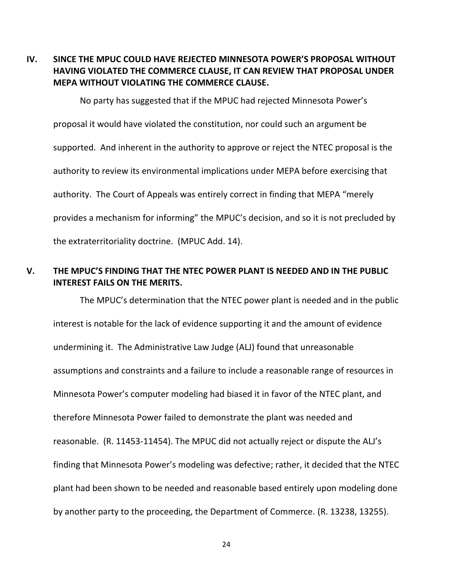**IV. SINCE THE MPUC COULD HAVE REJECTED MINNESOTA POWER'S PROPOSAL WITHOUT HAVING VIOLATED THE COMMERCE CLAUSE, IT CAN REVIEW THAT PROPOSAL UNDER MEPA WITHOUT VIOLATING THE COMMERCE CLAUSE.**

No party has suggested that if the MPUC had rejected Minnesota Power's proposal it would have violated the constitution, nor could such an argument be supported. And inherent in the authority to approve or reject the NTEC proposal is the authority to review its environmental implications under MEPA before exercising that authority. The Court of Appeals was entirely correct in finding that MEPA "merely provides a mechanism for informing" the MPUC's decision, and so it is not precluded by the extraterritoriality doctrine. (MPUC Add. 14).

## **V. THE MPUC'S FINDING THAT THE NTEC POWER PLANT IS NEEDED AND IN THE PUBLIC INTEREST FAILS ON THE MERITS.**

The MPUC's determination that the NTEC power plant is needed and in the public interest is notable for the lack of evidence supporting it and the amount of evidence undermining it. The Administrative Law Judge (ALJ) found that unreasonable assumptions and constraints and a failure to include a reasonable range of resources in Minnesota Power's computer modeling had biased it in favor of the NTEC plant, and therefore Minnesota Power failed to demonstrate the plant was needed and reasonable. (R. 11453-11454). The MPUC did not actually reject or dispute the ALJ's finding that Minnesota Power's modeling was defective; rather, it decided that the NTEC plant had been shown to be needed and reasonable based entirely upon modeling done by another party to the proceeding, the Department of Commerce. (R. 13238, 13255).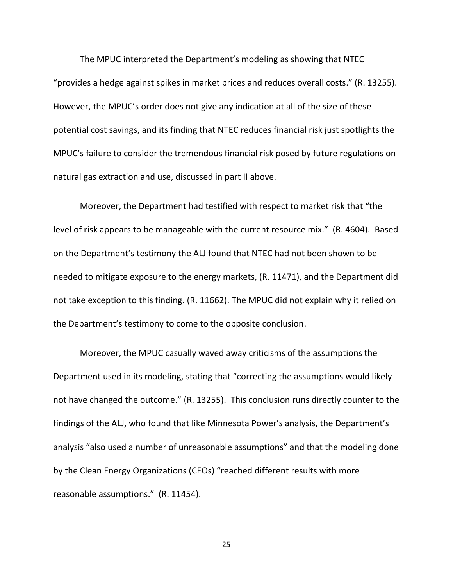The MPUC interpreted the Department's modeling as showing that NTEC "provides a hedge against spikes in market prices and reduces overall costs." (R. 13255). However, the MPUC's order does not give any indication at all of the size of these potential cost savings, and its finding that NTEC reduces financial risk just spotlights the MPUC's failure to consider the tremendous financial risk posed by future regulations on natural gas extraction and use, discussed in part II above.

Moreover, the Department had testified with respect to market risk that "the level of risk appears to be manageable with the current resource mix." (R. 4604). Based on the Department's testimony the ALJ found that NTEC had not been shown to be needed to mitigate exposure to the energy markets, (R. 11471), and the Department did not take exception to this finding. (R. 11662). The MPUC did not explain why it relied on the Department's testimony to come to the opposite conclusion.

Moreover, the MPUC casually waved away criticisms of the assumptions the Department used in its modeling, stating that "correcting the assumptions would likely not have changed the outcome." (R. 13255). This conclusion runs directly counter to the findings of the ALJ, who found that like Minnesota Power's analysis, the Department's analysis "also used a number of unreasonable assumptions" and that the modeling done by the Clean Energy Organizations (CEOs) "reached different results with more reasonable assumptions." (R. 11454).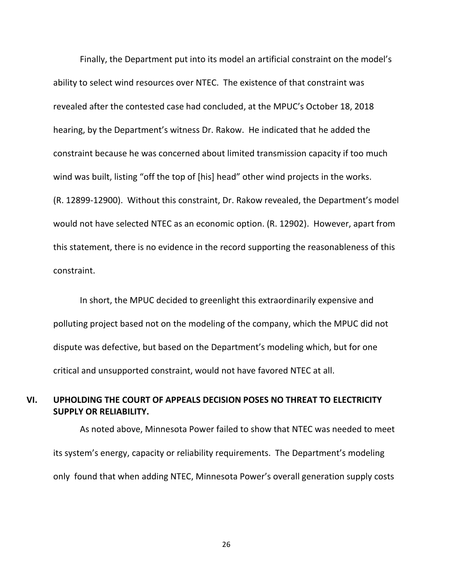Finally, the Department put into its model an artificial constraint on the model's ability to select wind resources over NTEC. The existence of that constraint was revealed after the contested case had concluded, at the MPUC's October 18, 2018 hearing, by the Department's witness Dr. Rakow. He indicated that he added the constraint because he was concerned about limited transmission capacity if too much wind was built, listing "off the top of [his] head" other wind projects in the works. (R. 12899-12900). Without this constraint, Dr. Rakow revealed, the Department's model would not have selected NTEC as an economic option. (R. 12902). However, apart from this statement, there is no evidence in the record supporting the reasonableness of this constraint.

In short, the MPUC decided to greenlight this extraordinarily expensive and polluting project based not on the modeling of the company, which the MPUC did not dispute was defective, but based on the Department's modeling which, but for one critical and unsupported constraint, would not have favored NTEC at all.

## **VI. UPHOLDING THE COURT OF APPEALS DECISION POSES NO THREAT TO ELECTRICITY SUPPLY OR RELIABILITY.**

As noted above, Minnesota Power failed to show that NTEC was needed to meet its system's energy, capacity or reliability requirements. The Department's modeling only found that when adding NTEC, Minnesota Power's overall generation supply costs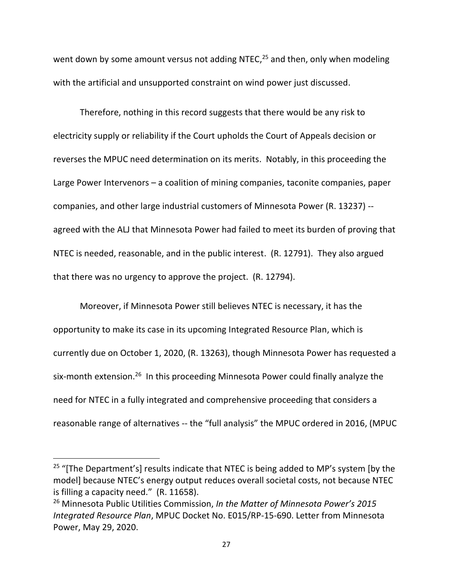went down by some amount versus not adding NTEC,<sup>25</sup> and then, only when modeling with the artificial and unsupported constraint on wind power just discussed.

Therefore, nothing in this record suggests that there would be any risk to electricity supply or reliability if the Court upholds the Court of Appeals decision or reverses the MPUC need determination on its merits. Notably, in this proceeding the Large Power Intervenors – a coalition of mining companies, taconite companies, paper companies, and other large industrial customers of Minnesota Power (R. 13237) - agreed with the ALJ that Minnesota Power had failed to meet its burden of proving that NTEC is needed, reasonable, and in the public interest. (R. 12791). They also argued that there was no urgency to approve the project. (R. 12794).

Moreover, if Minnesota Power still believes NTEC is necessary, it has the opportunity to make its case in its upcoming Integrated Resource Plan, which is currently due on October 1, 2020, (R. 13263), though Minnesota Power has requested a six-month extension.<sup>26</sup> In this proceeding Minnesota Power could finally analyze the need for NTEC in a fully integrated and comprehensive proceeding that considers a reasonable range of alternatives -- the "full analysis" the MPUC ordered in 2016, (MPUC

<sup>&</sup>lt;sup>25</sup> "[The Department's] results indicate that NTEC is being added to MP's system [by the model] because NTEC's energy output reduces overall societal costs, not because NTEC is filling a capacity need." (R. 11658).

<sup>26</sup> Minnesota Public Utilities Commission, *In the Matter of Minnesota Power's 2015 Integrated Resource Plan*, MPUC Docket No. E015/RP-15-690. Letter from Minnesota Power, May 29, 2020.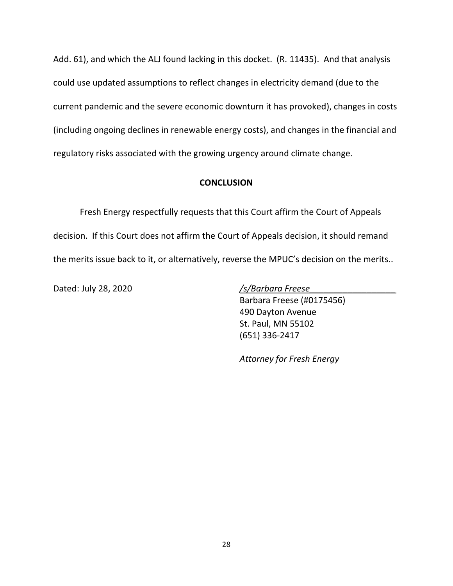Add. 61), and which the ALJ found lacking in this docket. (R. 11435). And that analysis could use updated assumptions to reflect changes in electricity demand (due to the current pandemic and the severe economic downturn it has provoked), changes in costs (including ongoing declines in renewable energy costs), and changes in the financial and regulatory risks associated with the growing urgency around climate change.

#### **CONCLUSION**

Fresh Energy respectfully requests that this Court affirm the Court of Appeals decision. If this Court does not affirm the Court of Appeals decision, it should remand the merits issue back to it, or alternatively, reverse the MPUC's decision on the merits..

Dated: July 28, 2020 */s/Barbara Freese\_\_\_\_\_\_\_\_\_\_\_\_\_\_\_\_\_\_*

Barbara Freese (#0175456) 490 Dayton Avenue St. Paul, MN 55102 (651) 336-2417

*Attorney for Fresh Energy*